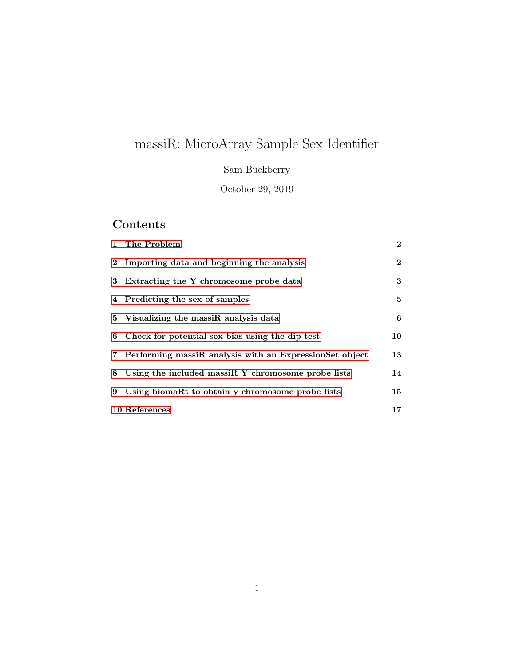# massiR: MicroArray Sample Sex Identifier

Sam Buckberry

October 29, 2019

# Contents

| 1 The Problem                                             | $\mathbf{2}$    |
|-----------------------------------------------------------|-----------------|
| 2 Importing data and beginning the analysis               | $\overline{2}$  |
| 3 Extracting the Y chromosome probe data                  | $3\phantom{.0}$ |
| 4 Predicting the sex of samples                           | $5^{\circ}$     |
| 5 Visualizing the massiR analysis data                    | 6               |
| 6 Check for potential sex bias using the dip test         | 10              |
| 7 Performing massiR analysis with an ExpressionSet object | 13              |
| 8 Using the included massiR Y chromosome probe lists      | 14              |
| 9 Using biomaRt to obtain y chromosome probe lists        | 15              |
| <b>10 References</b>                                      | $17 \,$         |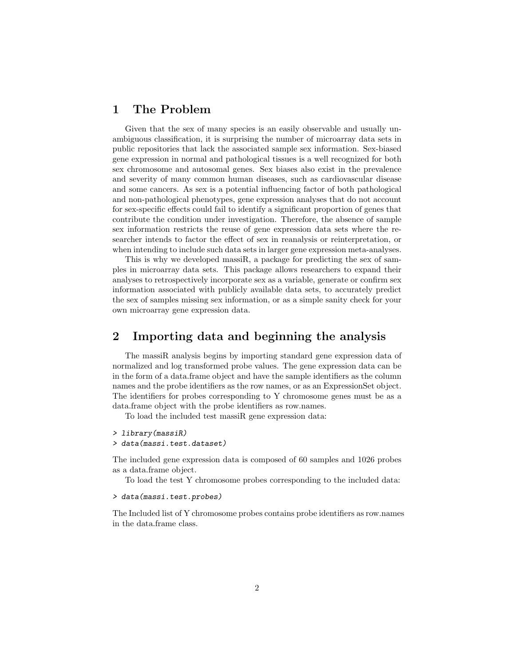### <span id="page-1-0"></span>1 The Problem

Given that the sex of many species is an easily observable and usually unambiguous classification, it is surprising the number of microarray data sets in public repositories that lack the associated sample sex information. Sex-biased gene expression in normal and pathological tissues is a well recognized for both sex chromosome and autosomal genes. Sex biases also exist in the prevalence and severity of many common human diseases, such as cardiovascular disease and some cancers. As sex is a potential influencing factor of both pathological and non-pathological phenotypes, gene expression analyses that do not account for sex-specific effects could fail to identify a significant proportion of genes that contribute the condition under investigation. Therefore, the absence of sample sex information restricts the reuse of gene expression data sets where the researcher intends to factor the effect of sex in reanalysis or reinterpretation, or when intending to include such data sets in larger gene expression meta-analyses.

This is why we developed massiR, a package for predicting the sex of samples in microarray data sets. This package allows researchers to expand their analyses to retrospectively incorporate sex as a variable, generate or confirm sex information associated with publicly available data sets, to accurately predict the sex of samples missing sex information, or as a simple sanity check for your own microarray gene expression data.

## <span id="page-1-1"></span>2 Importing data and beginning the analysis

The massiR analysis begins by importing standard gene expression data of normalized and log transformed probe values. The gene expression data can be in the form of a data.frame object and have the sample identifiers as the column names and the probe identifiers as the row names, or as an ExpressionSet object. The identifiers for probes corresponding to Y chromosome genes must be as a data.frame object with the probe identifiers as row.names.

To load the included test massiR gene expression data:

#### > library(massiR)

> data(massi.test.dataset)

The included gene expression data is composed of 60 samples and 1026 probes as a data.frame object.

To load the test Y chromosome probes corresponding to the included data:

#### > data(massi.test.probes)

The Included list of Y chromosome probes contains probe identifiers as row.names in the data.frame class.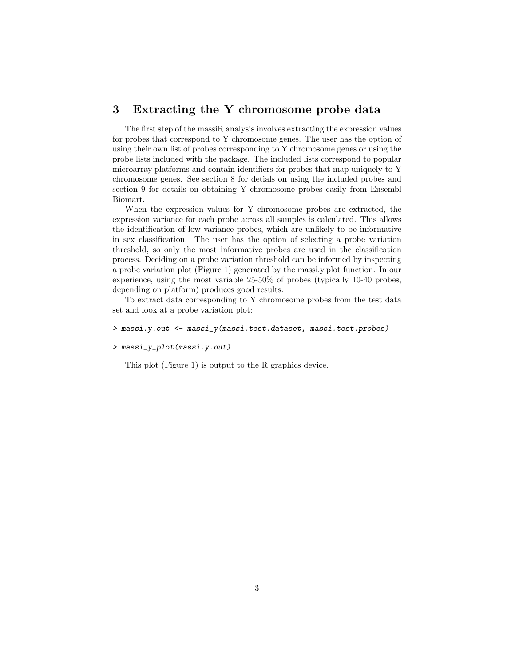#### <span id="page-2-0"></span>3 Extracting the Y chromosome probe data

The first step of the massiR analysis involves extracting the expression values for probes that correspond to Y chromosome genes. The user has the option of using their own list of probes corresponding to Y chromosome genes or using the probe lists included with the package. The included lists correspond to popular microarray platforms and contain identifiers for probes that map uniquely to Y chromosome genes. See section 8 for detials on using the included probes and section 9 for details on obtaining Y chromosome probes easily from Ensembl Biomart.

When the expression values for Y chromosome probes are extracted, the expression variance for each probe across all samples is calculated. This allows the identification of low variance probes, which are unlikely to be informative in sex classification. The user has the option of selecting a probe variation threshold, so only the most informative probes are used in the classification process. Deciding on a probe variation threshold can be informed by inspecting a probe variation plot (Figure 1) generated by the massi.y.plot function. In our experience, using the most variable 25-50% of probes (typically 10-40 probes, depending on platform) produces good results.

To extract data corresponding to Y chromosome probes from the test data set and look at a probe variation plot:

```
> massi.y.out <- massi_y(massi.test.dataset, massi.test.probes)
```

```
> massi_y_plot(massi.y.out)
```
This plot (Figure 1) is output to the R graphics device.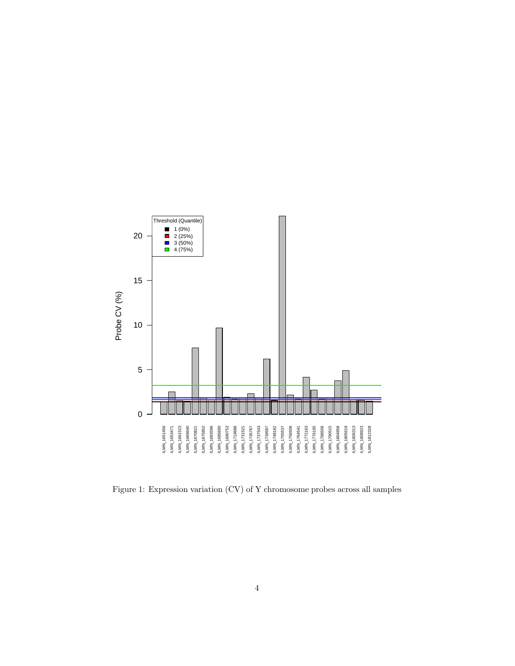

Figure 1: Expression variation (CV) of Y chromosome probes across all samples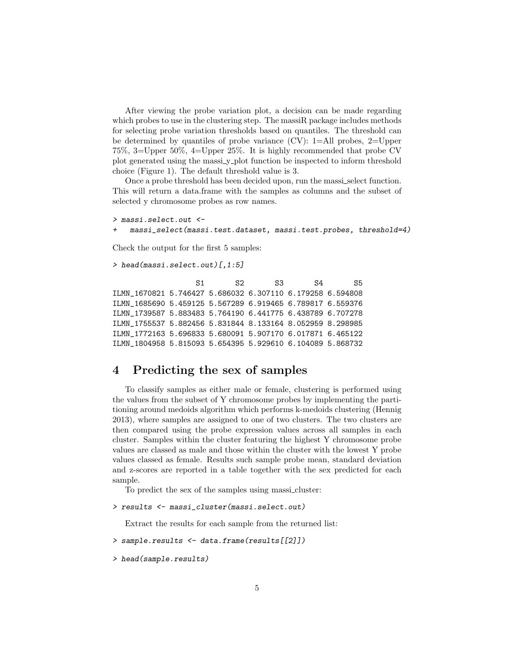After viewing the probe variation plot, a decision can be made regarding which probes to use in the clustering step. The massiR package includes methods for selecting probe variation thresholds based on quantiles. The threshold can be determined by quantiles of probe variance (CV): 1=All probes, 2=Upper 75%, 3=Upper 50%, 4=Upper 25%. It is highly recommended that probe CV plot generated using the massi y plot function be inspected to inform threshold choice (Figure 1). The default threshold value is 3.

Once a probe threshold has been decided upon, run the massi\_select function. This will return a data.frame with the samples as columns and the subset of selected y chromosome probes as row names.

```
> massi.select.out <-
   + massi_select(massi.test.dataset, massi.test.probes, threshold=4)
```
Check the output for the first 5 samples:

```
> head(massi.select.out)[,1:5]
```

```
S1 S2 S3 S4 S5
ILMN_1670821 5.746427 5.686032 6.307110 6.179258 6.594808
ILMN_1685690 5.459125 5.567289 6.919465 6.789817 6.559376
ILMN_1739587 5.883483 5.764190 6.441775 6.438789 6.707278
ILMN_1755537 5.882456 5.831844 8.133164 8.052959 8.298985
ILMN_1772163 5.696833 5.680091 5.907170 6.017871 6.465122
ILMN_1804958 5.815093 5.654395 5.929610 6.104089 5.868732
```
#### <span id="page-4-0"></span>4 Predicting the sex of samples

To classify samples as either male or female, clustering is performed using the values from the subset of Y chromosome probes by implementing the partitioning around medoids algorithm which performs k-medoids clustering (Hennig 2013), where samples are assigned to one of two clusters. The two clusters are then compared using the probe expression values across all samples in each cluster. Samples within the cluster featuring the highest Y chromosome probe values are classed as male and those within the cluster with the lowest Y probe values classed as female. Results such sample probe mean, standard deviation and z-scores are reported in a table together with the sex predicted for each sample.

To predict the sex of the samples using massi cluster:

```
> results <- massi_cluster(massi.select.out)
```
Extract the results for each sample from the returned list:

```
> sample.results <- data.frame(results[[2]])
```

```
> head(sample.results)
```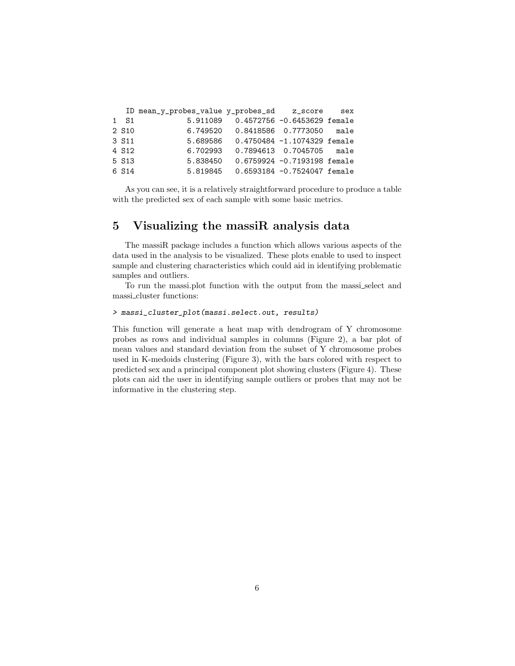|                             |                                        | ID mean_y_probes_value y_probes_sd z_score sex |                   |  |
|-----------------------------|----------------------------------------|------------------------------------------------|-------------------|--|
|                             | 5.911089  0.4572756 -0.6453629 female  |                                                | 1 S1              |  |
|                             | 6.749520 0.8418586 0.7773050 male      |                                                | 2 S <sub>10</sub> |  |
|                             | 5.689586  0.4750484 -1.1074329 female  |                                                | 3 S <sub>11</sub> |  |
| 0.7894613  0.7045705  male  |                                        | 6.702993                                       | 4 S <sub>12</sub> |  |
| 0.6759924 -0.7193198 female |                                        | 5.838450                                       | 5 S13             |  |
|                             | 5.819845   0.6593184 -0.7524047 female |                                                | 6 S14             |  |

As you can see, it is a relatively straightforward procedure to produce a table with the predicted sex of each sample with some basic metrics.

### <span id="page-5-0"></span>5 Visualizing the massiR analysis data

The massiR package includes a function which allows various aspects of the data used in the analysis to be visualized. These plots enable to used to inspect sample and clustering characteristics which could aid in identifying problematic samples and outliers.

To run the massi.plot function with the output from the massi select and massi cluster functions:

#### > massi\_cluster\_plot(massi.select.out, results)

This function will generate a heat map with dendrogram of Y chromosome probes as rows and individual samples in columns (Figure 2), a bar plot of mean values and standard deviation from the subset of Y chromosome probes used in K-medoids clustering (Figure 3), with the bars colored with respect to predicted sex and a principal component plot showing clusters (Figure 4). These plots can aid the user in identifying sample outliers or probes that may not be informative in the clustering step.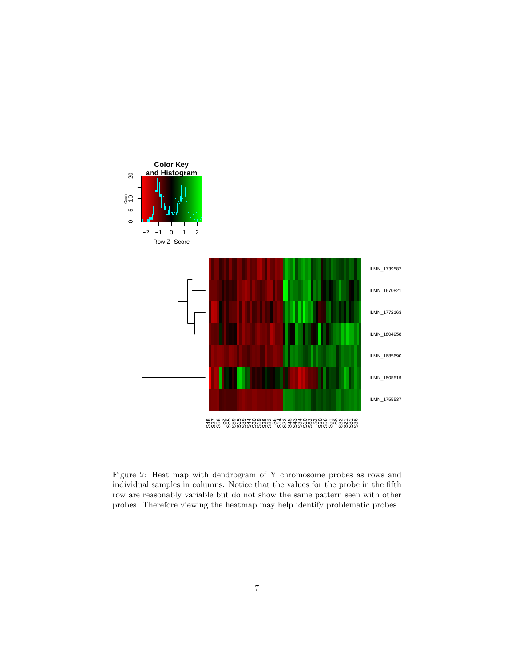

Figure 2: Heat map with dendrogram of Y chromosome probes as rows and individual samples in columns. Notice that the values for the probe in the fifth row are reasonably variable but do not show the same pattern seen with other probes. Therefore viewing the heatmap may help identify problematic probes.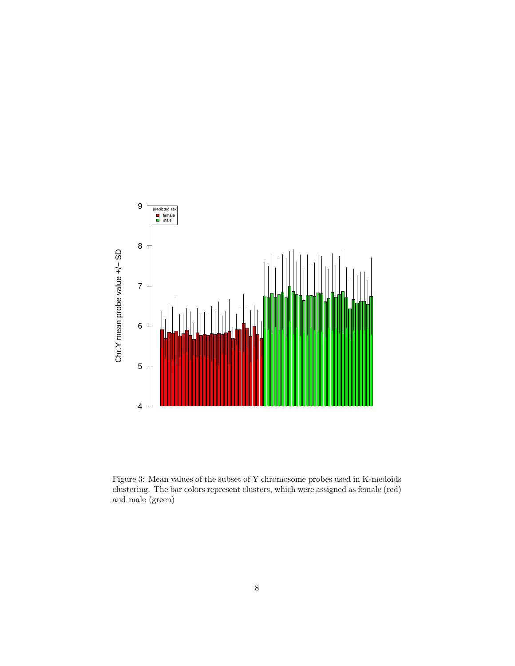

Figure 3: Mean values of the subset of Y chromosome probes used in K-medoids clustering. The bar colors represent clusters, which were assigned as female (red) and male (green)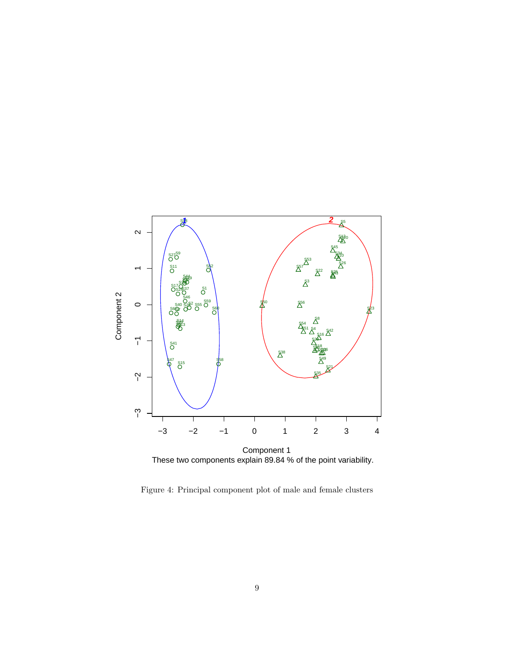

Figure 4: Principal component plot of male and female clusters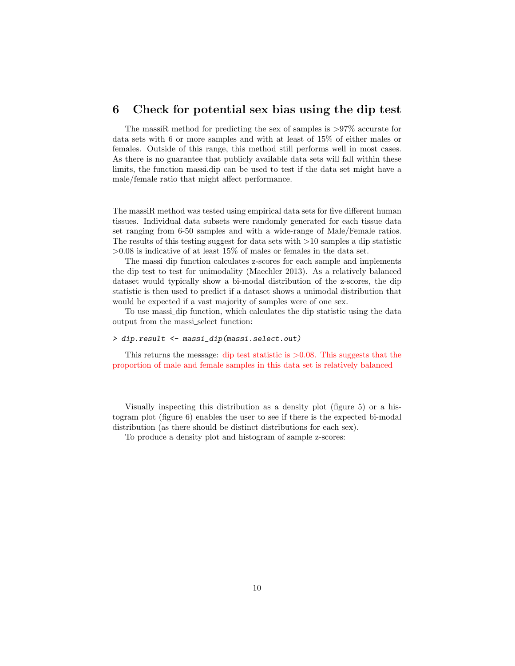#### <span id="page-9-0"></span>6 Check for potential sex bias using the dip test

The massiR method for predicting the sex of samples is >97% accurate for data sets with 6 or more samples and with at least of 15% of either males or females. Outside of this range, this method still performs well in most cases. As there is no guarantee that publicly available data sets will fall within these limits, the function massi.dip can be used to test if the data set might have a male/female ratio that might affect performance.

The massiR method was tested using empirical data sets for five different human tissues. Individual data subsets were randomly generated for each tissue data set ranging from 6-50 samples and with a wide-range of Male/Female ratios. The results of this testing suggest for data sets with  $>10$  samples a dip statistic  $>0.08$  is indicative of at least 15% of males or females in the data set.

The massi dip function calculates z-scores for each sample and implements the dip test to test for unimodality (Maechler 2013). As a relatively balanced dataset would typically show a bi-modal distribution of the z-scores, the dip statistic is then used to predict if a dataset shows a unimodal distribution that would be expected if a vast majority of samples were of one sex.

To use massi dip function, which calculates the dip statistic using the data output from the massi select function:

#### > dip.result <- massi\_dip(massi.select.out)

This returns the message: dip test statistic is  $> 0.08$ . This suggests that the proportion of male and female samples in this data set is relatively balanced

Visually inspecting this distribution as a density plot (figure 5) or a histogram plot (figure 6) enables the user to see if there is the expected bi-modal distribution (as there should be distinct distributions for each sex).

To produce a density plot and histogram of sample z-scores: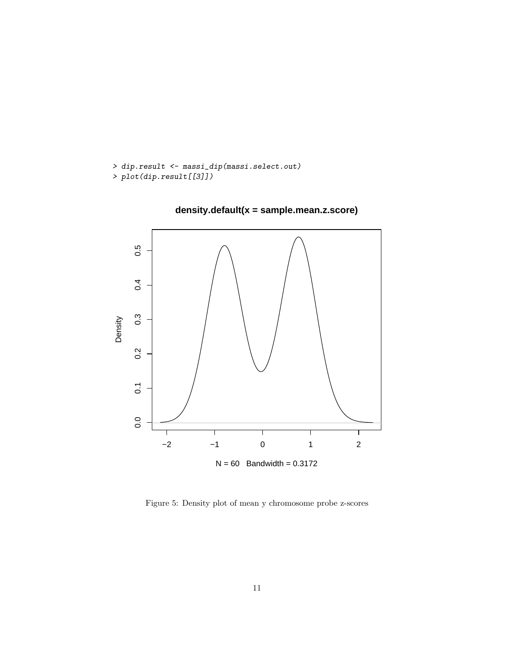```
> dip.result <- massi_dip(massi.select.out)
> plot(dip.result[[3]])
```


**density.default(x = sample.mean.z.score)**

Figure 5: Density plot of mean y chromosome probe z-scores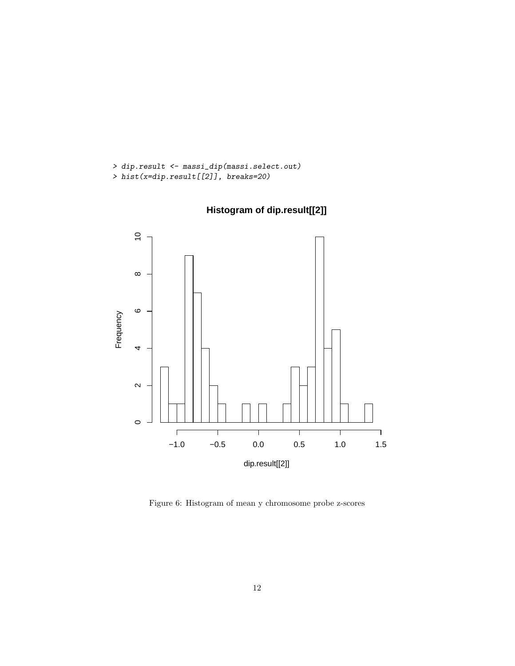```
> dip.result <- massi_dip(massi.select.out)
> hist(x=dip.result[[2]], breaks=20)
```


**Histogram of dip.result[[2]]**

Figure 6: Histogram of mean y chromosome probe z-scores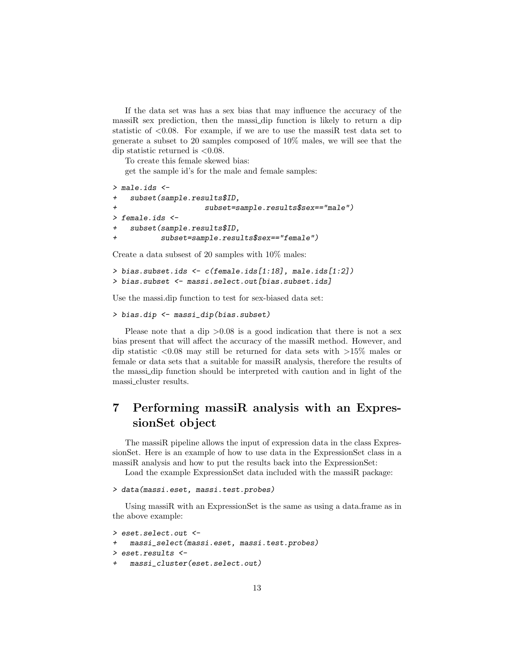If the data set was has a sex bias that may influence the accuracy of the massiR sex prediction, then the massi\_dip function is likely to return a dip statistic of  $\langle 0.08. \rangle$  For example, if we are to use the massifictest data set to generate a subset to 20 samples composed of 10% males, we will see that the dip statistic returned is  $\langle 0.08 \rangle$ .

To create this female skewed bias:

get the sample id's for the male and female samples:

```
> male.ids <-
+ subset(sample.results$ID,
                     + subset=sample.results$sex=="male")
> female.ids <-
+ subset(sample.results$ID,
           + subset=sample.results$sex=="female")
```
Create a data subsest of 20 samples with 10% males:

```
> bias.subset.ids <- c(female.ids[1:18], male.ids[1:2])
> bias.subset <- massi.select.out[bias.subset.ids]
```
Use the massi.dip function to test for sex-biased data set:

```
> bias.dip <- massi_dip(bias.subset)
```
Please note that a dip  $>0.08$  is a good indication that there is not a sex bias present that will affect the accuracy of the massiR method. However, and dip statistic  $\langle 0.08 \rangle$  may still be returned for data sets with  $>15\%$  males or female or data sets that a suitable for massiR analysis, therefore the results of the massi dip function should be interpreted with caution and in light of the massi cluster results.

# <span id="page-12-0"></span>7 Performing massiR analysis with an ExpressionSet object

The massiR pipeline allows the input of expression data in the class ExpressionSet. Here is an example of how to use data in the ExpressionSet class in a massiR analysis and how to put the results back into the ExpressionSet:

Load the example ExpressionSet data included with the massiR package:

```
> data(massi.eset, massi.test.probes)
```
Using massiR with an ExpressionSet is the same as using a data.frame as in the above example:

```
> eset.select.out <-
    massi_select(massi.eset, massi.test.probes)
> eset.results <-
    massi_{\text{cluster}}(eset.setect.out)
```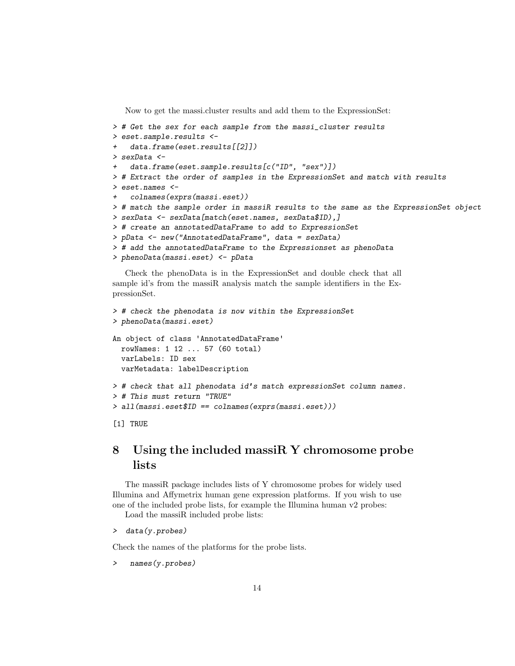Now to get the massi.cluster results and add them to the ExpressionSet:

```
> # Get the sex for each sample from the massi_cluster results
> eset.sample.results <-
    data.frame(eset.results[[2]])
> sexData <-
    data.frame(eset.sample.results[c("ID", "sex")])
> # Extract the order of samples in the ExpressionSet and match with results
> eset.names <-
    + colnames(exprs(massi.eset))
> # match the sample order in massiR results to the same as the ExpressionSet object
> sexData <- sexData[match(eset.names, sexData$ID),]
> # create an annotatedDataFrame to add to ExpressionSet
> pData <- new("AnnotatedDataFrame", data = sexData)
> # add the annotatedDataFrame to the Expressionset as phenoData
> phenoData(massi.eset) <- pData
```
Check the phenoData is in the ExpressionSet and double check that all sample id's from the massiR analysis match the sample identifiers in the ExpressionSet.

```
> # check the phenodata is now within the ExpressionSet
> phenoData(massi.eset)
An object of class 'AnnotatedDataFrame'
 rowNames: 1 12 ... 57 (60 total)
  varLabels: ID sex
 varMetadata: labelDescription
> # check that all phenodata id's match expressionSet column names.
> # This must return "TRUE"
> all(massi.eset$ID == colnames(exprs(massi.eset)))
[1] TRUE
```
## <span id="page-13-0"></span>8 Using the included massiR Y chromosome probe lists

The massiR package includes lists of Y chromosome probes for widely used Illumina and Affymetrix human gene expression platforms. If you wish to use one of the included probe lists, for example the Illumina human v2 probes:

Load the massiR included probe lists:

```
> data(y.probes)
```
Check the names of the platforms for the probe lists.

```
names(y.probes)
```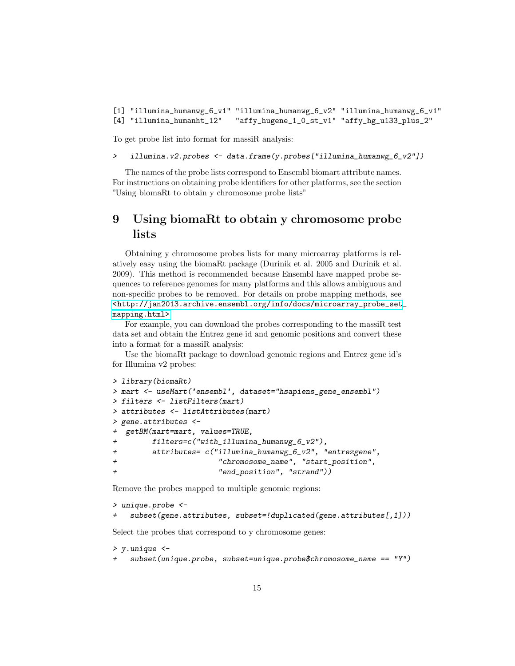[1] "illumina\_humanwg\_6\_v1" "illumina\_humanwg\_6\_v2" "illumina\_humanwg\_6\_v1" [4] "illumina\_humanht\_12" "affy\_hugene\_1\_0\_st\_v1" "affy\_hg\_u133\_plus\_2"

To get probe list into format for massiR analysis:

> illumina.v2.probes <- data.frame(y.probes["illumina\_humanwg\_6\_v2"])

The names of the probe lists correspond to Ensembl biomart attribute names. For instructions on obtaining probe identifiers for other platforms, see the section "Using biomaRt to obtain y chromosome probe lists"

# <span id="page-14-0"></span>9 Using biomaRt to obtain y chromosome probe lists

Obtaining y chromosome probes lists for many microarray platforms is relatively easy using the biomaRt package (Durinik et al. 2005 and Durinik et al. 2009). This method is recommended because Ensembl have mapped probe sequences to reference genomes for many platforms and this allows ambiguous and non-specific probes to be removed. For details on probe mapping methods, see [<http://jan2013.archive.ensembl.org/info/docs/microarray\\_probe\\_set](<http://jan2013.archive.ensembl.org/info/docs/microarray_probe_set_mapping.html>)\_ [mapping.html>](<http://jan2013.archive.ensembl.org/info/docs/microarray_probe_set_mapping.html>)

For example, you can download the probes corresponding to the massiR test data set and obtain the Entrez gene id and genomic positions and convert these into a format for a massiR analysis:

Use the biomaRt package to download genomic regions and Entrez gene id's for Illumina v2 probes:

```
> library(biomaRt)
> mart <- useMart('ensembl', dataset="hsapiens_gene_ensembl")
> filters <- listFilters(mart)
> attributes <- listAttributes(mart)
> gene.attributes <-
+ getBM(mart=mart, values=TRUE,
+ filters=c("with_illumina_humanwg_6_v2"),
+ attributes= c("illumina_humanwg_6_v2", "entrezgene",
+ "chromosome_name", "start_position",
+ "end_position", "strand"))
```
Remove the probes mapped to multiple genomic regions:

```
> unique.probe <-
    subset(f) subset(gene.attributes, subset=!duplicated(gene.attributes[,1]))
```
Select the probes that correspond to y chromosome genes:

```
> y.unique <-
    subset(unique.probe, subset=unique.probe\&chromosome_name == "Y")
```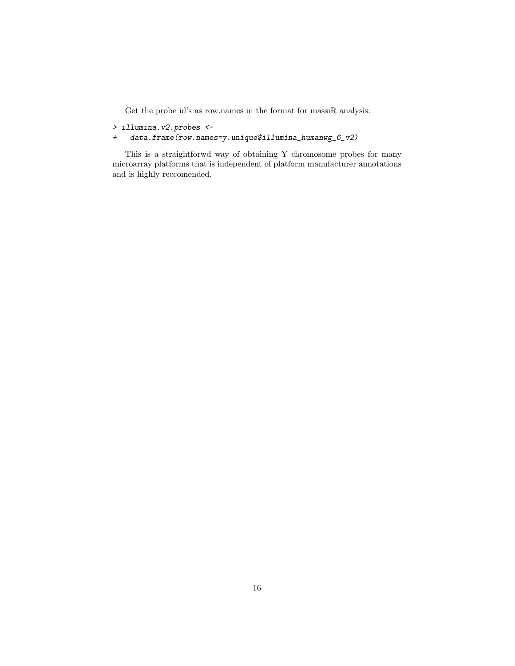Get the probe id's as row.names in the format for massiR analysis:

- > illumina.v2.probes <-
- + data.frame(row.names=y.unique\$illumina\_humanwg\_6\_v2)

This is a straightforwd way of obtaining Y chromosome probes for many microarray platforms that is independent of platform manufacturer annotations and is highly reccomended.